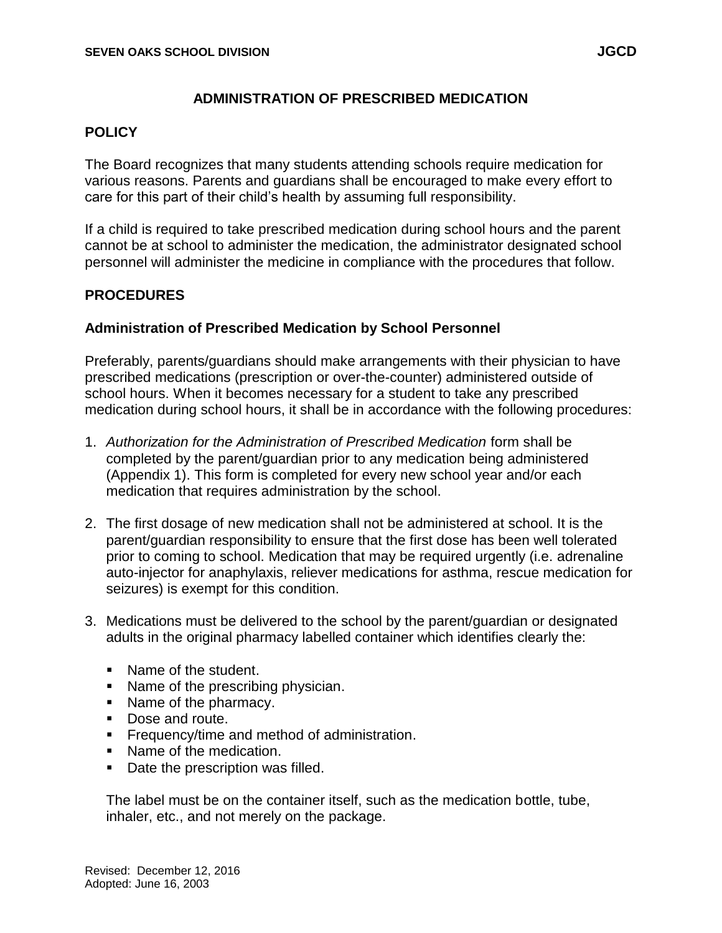#### **ADMINISTRATION OF PRESCRIBED MEDICATION**

#### **POLICY**

The Board recognizes that many students attending schools require medication for various reasons. Parents and guardians shall be encouraged to make every effort to care for this part of their child's health by assuming full responsibility.

If a child is required to take prescribed medication during school hours and the parent cannot be at school to administer the medication, the administrator designated school personnel will administer the medicine in compliance with the procedures that follow.

### **PROCEDURES**

#### **Administration of Prescribed Medication by School Personnel**

Preferably, parents/guardians should make arrangements with their physician to have prescribed medications (prescription or over-the-counter) administered outside of school hours. When it becomes necessary for a student to take any prescribed medication during school hours, it shall be in accordance with the following procedures:

- 1. *Authorization for the Administration of Prescribed Medication* form shall be completed by the parent/guardian prior to any medication being administered (Appendix 1). This form is completed for every new school year and/or each medication that requires administration by the school.
- 2. The first dosage of new medication shall not be administered at school. It is the parent/guardian responsibility to ensure that the first dose has been well tolerated prior to coming to school. Medication that may be required urgently (i.e. adrenaline auto-injector for anaphylaxis, reliever medications for asthma, rescue medication for seizures) is exempt for this condition.
- 3. Medications must be delivered to the school by the parent/guardian or designated adults in the original pharmacy labelled container which identifies clearly the:
	- Name of the student.
	- Name of the prescribing physician.
	- Name of the pharmacy.
	- Dose and route.
	- **Figure 1** Frequency/time and method of administration.
	- Name of the medication.
	- Date the prescription was filled.

The label must be on the container itself, such as the medication bottle, tube, inhaler, etc., and not merely on the package.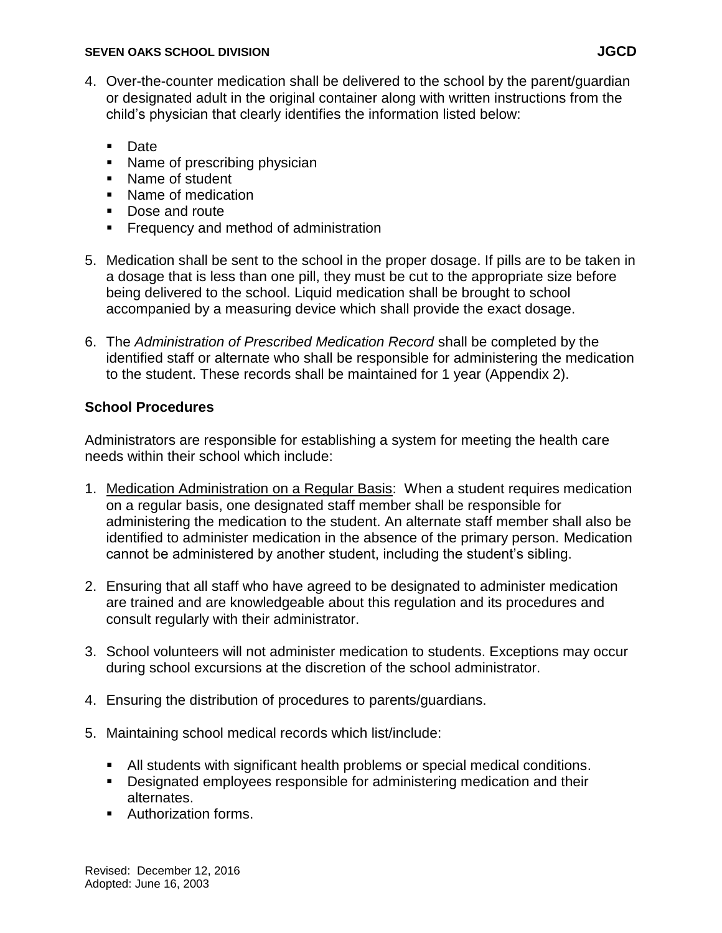#### **SEVEN OAKS SCHOOL DIVISION JGCD**

- 4. Over-the-counter medication shall be delivered to the school by the parent/guardian or designated adult in the original container along with written instructions from the child's physician that clearly identifies the information listed below:
	- Date
	- Name of prescribing physician
	- Name of student
	- Name of medication
	- Dose and route
	- **Figure 1** Frequency and method of administration
- 5. Medication shall be sent to the school in the proper dosage. If pills are to be taken in a dosage that is less than one pill, they must be cut to the appropriate size before being delivered to the school. Liquid medication shall be brought to school accompanied by a measuring device which shall provide the exact dosage.
- 6. The *Administration of Prescribed Medication Record* shall be completed by the identified staff or alternate who shall be responsible for administering the medication to the student. These records shall be maintained for 1 year (Appendix 2).

# **School Procedures**

Administrators are responsible for establishing a system for meeting the health care needs within their school which include:

- 1. Medication Administration on a Regular Basis: When a student requires medication on a regular basis, one designated staff member shall be responsible for administering the medication to the student. An alternate staff member shall also be identified to administer medication in the absence of the primary person. Medication cannot be administered by another student, including the student's sibling.
- 2. Ensuring that all staff who have agreed to be designated to administer medication are trained and are knowledgeable about this regulation and its procedures and consult regularly with their administrator.
- 3. School volunteers will not administer medication to students. Exceptions may occur during school excursions at the discretion of the school administrator.
- 4. Ensuring the distribution of procedures to parents/guardians.
- 5. Maintaining school medical records which list/include:
	- All students with significant health problems or special medical conditions.
	- **Designated employees responsible for administering medication and their** alternates.
	- **Authorization forms.**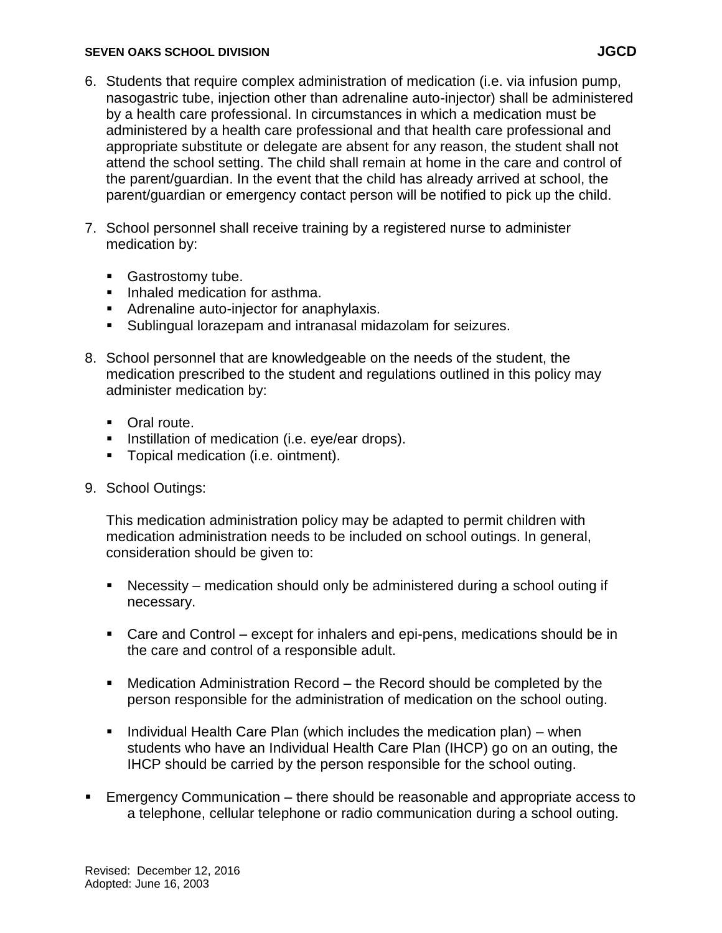#### **SEVEN OAKS SCHOOL DIVISION JGCD**

- 6. Students that require complex administration of medication (i.e. via infusion pump, nasogastric tube, injection other than adrenaline auto-injector) shall be administered by a health care professional. In circumstances in which a medication must be administered by a health care professional and that health care professional and appropriate substitute or delegate are absent for any reason, the student shall not attend the school setting. The child shall remain at home in the care and control of the parent/guardian. In the event that the child has already arrived at school, the parent/guardian or emergency contact person will be notified to pick up the child.
- 7. School personnel shall receive training by a registered nurse to administer medication by:
	- Gastrostomy tube.
	- Inhaled medication for asthma.
	- **Adrenaline auto-injector for anaphylaxis.**
	- Sublingual lorazepam and intranasal midazolam for seizures.
- 8. School personnel that are knowledgeable on the needs of the student, the medication prescribed to the student and regulations outlined in this policy may administer medication by:
	- Oral route.
	- **Instillation of medication (i.e. eye/ear drops).**
	- **Topical medication (i.e. ointment).**
- 9. School Outings:

This medication administration policy may be adapted to permit children with medication administration needs to be included on school outings. In general, consideration should be given to:

- Necessity medication should only be administered during a school outing if necessary.
- Care and Control except for inhalers and epi-pens, medications should be in the care and control of a responsible adult.
- Medication Administration Record the Record should be completed by the person responsible for the administration of medication on the school outing.
- Individual Health Care Plan (which includes the medication plan) when students who have an Individual Health Care Plan (IHCP) go on an outing, the IHCP should be carried by the person responsible for the school outing.
- **Emergency Communication there should be reasonable and appropriate access to** a telephone, cellular telephone or radio communication during a school outing.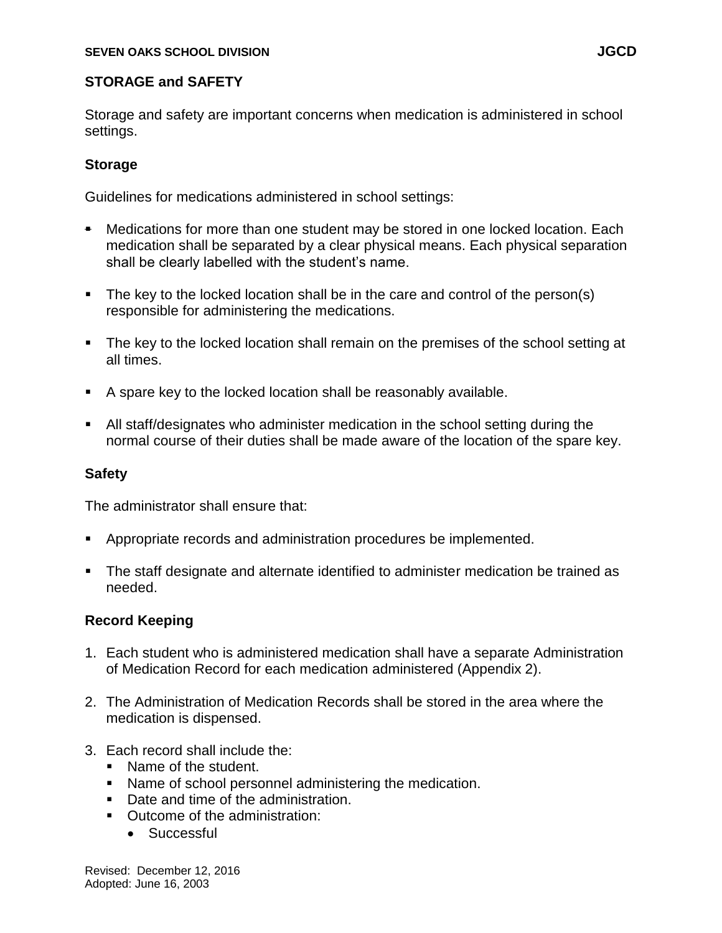## **STORAGE and SAFETY**

Storage and safety are important concerns when medication is administered in school settings.

## **Storage**

Guidelines for medications administered in school settings:

- Medications for more than one student may be stored in one locked location. Each medication shall be separated by a clear physical means. Each physical separation shall be clearly labelled with the student's name.
- The key to the locked location shall be in the care and control of the person(s) responsible for administering the medications.
- The key to the locked location shall remain on the premises of the school setting at all times.
- A spare key to the locked location shall be reasonably available.
- All staff/designates who administer medication in the school setting during the normal course of their duties shall be made aware of the location of the spare key.

# **Safety**

The administrator shall ensure that:

- Appropriate records and administration procedures be implemented.
- The staff designate and alternate identified to administer medication be trained as needed.

# **Record Keeping**

- 1. Each student who is administered medication shall have a separate Administration of Medication Record for each medication administered (Appendix 2).
- 2. The Administration of Medication Records shall be stored in the area where the medication is dispensed.
- 3. Each record shall include the:
	- Name of the student.
	- Name of school personnel administering the medication.
	- Date and time of the administration.
	- Outcome of the administration:
		- **•** Successful

Revised: December 12, 2016 Adopted: June 16, 2003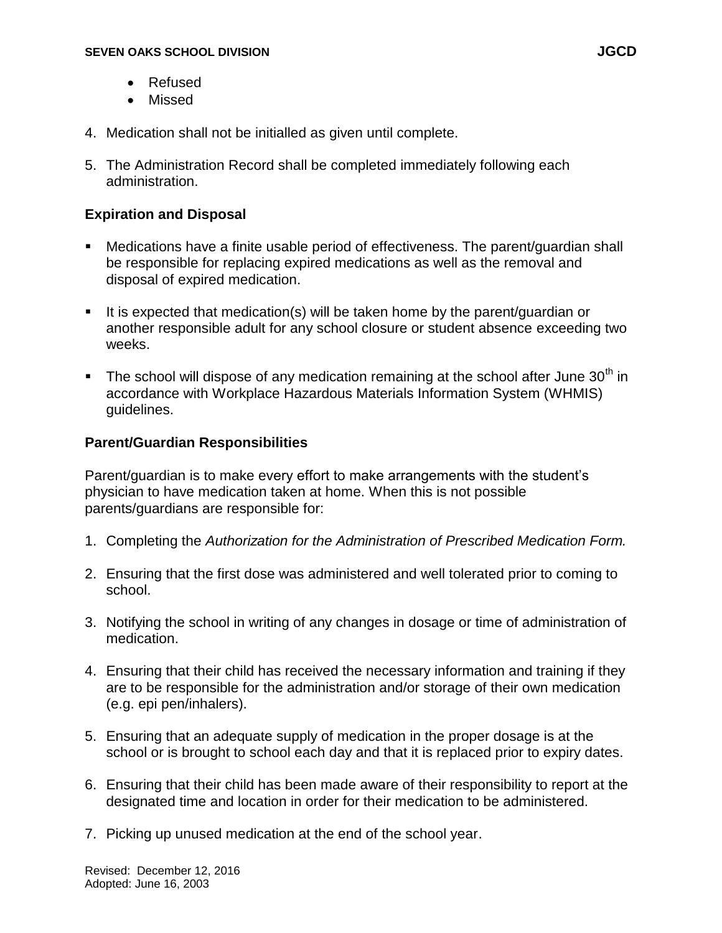- Refused
- Missed
- 4. Medication shall not be initialled as given until complete.
- 5. The Administration Record shall be completed immediately following each administration.

### **Expiration and Disposal**

- Medications have a finite usable period of effectiveness. The parent/guardian shall be responsible for replacing expired medications as well as the removal and disposal of expired medication.
- It is expected that medication(s) will be taken home by the parent/guardian or another responsible adult for any school closure or student absence exceeding two weeks.
- The school will dispose of any medication remaining at the school after June  $30<sup>th</sup>$  in accordance with Workplace Hazardous Materials Information System (WHMIS) guidelines.

## **Parent/Guardian Responsibilities**

Parent/guardian is to make every effort to make arrangements with the student's physician to have medication taken at home. When this is not possible parents/guardians are responsible for:

- 1. Completing the *Authorization for the Administration of Prescribed Medication Form.*
- 2. Ensuring that the first dose was administered and well tolerated prior to coming to school.
- 3. Notifying the school in writing of any changes in dosage or time of administration of medication.
- 4. Ensuring that their child has received the necessary information and training if they are to be responsible for the administration and/or storage of their own medication (e.g. epi pen/inhalers).
- 5. Ensuring that an adequate supply of medication in the proper dosage is at the school or is brought to school each day and that it is replaced prior to expiry dates.
- 6. Ensuring that their child has been made aware of their responsibility to report at the designated time and location in order for their medication to be administered.
- 7. Picking up unused medication at the end of the school year.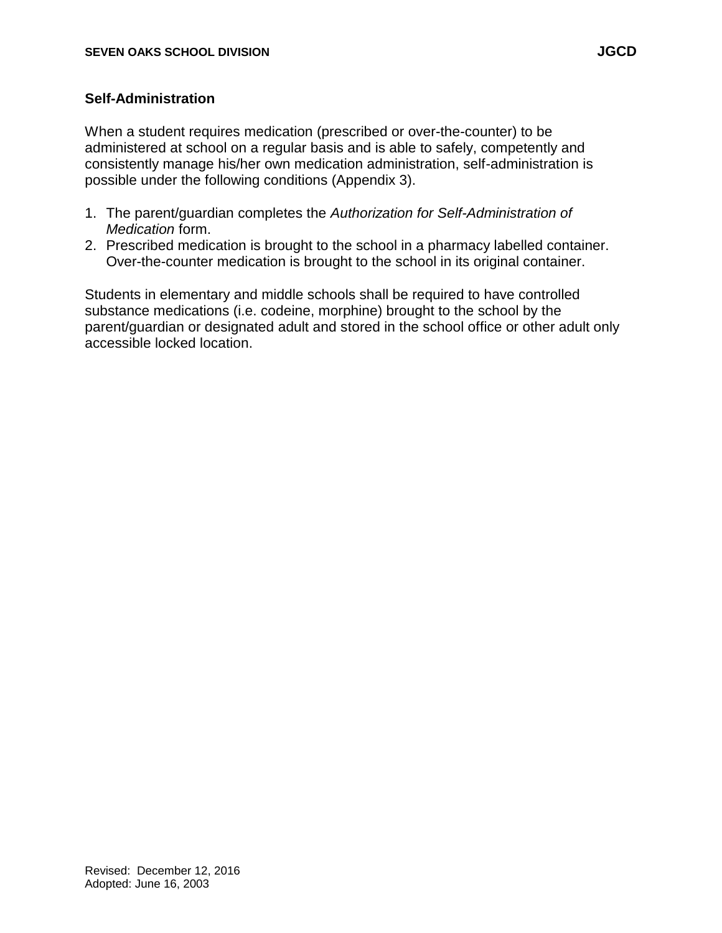## **Self-Administration**

When a student requires medication (prescribed or over-the-counter) to be administered at school on a regular basis and is able to safely, competently and consistently manage his/her own medication administration, self-administration is possible under the following conditions (Appendix 3).

- 1. The parent/guardian completes the *Authorization for Self-Administration of Medication* form.
- 2. Prescribed medication is brought to the school in a pharmacy labelled container. Over-the-counter medication is brought to the school in its original container.

Students in elementary and middle schools shall be required to have controlled substance medications (i.e. codeine, morphine) brought to the school by the parent/guardian or designated adult and stored in the school office or other adult only accessible locked location.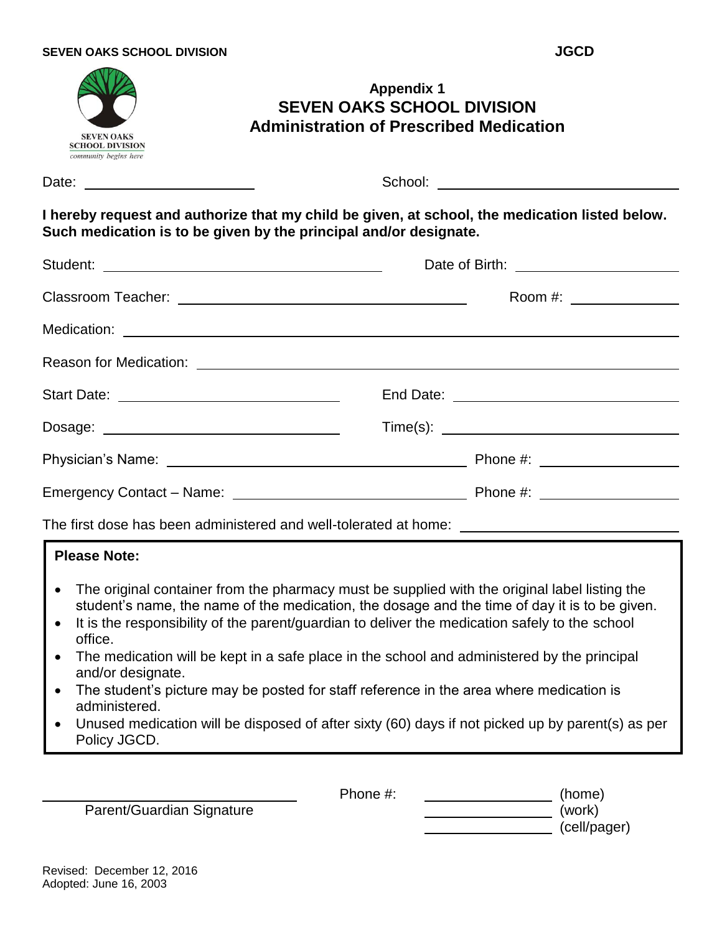| Date: ________________________<br>I hereby request and authorize that my child be given, at school, the medication listed below.<br>Such medication is to be given by the principal and/or designate.<br><b>Please Note:</b><br>The original container from the pharmacy must be supplied with the original label listing the<br>student's name, the name of the medication, the dosage and the time of day it is to be given.<br>It is the responsibility of the parent/guardian to deliver the medication safely to the school<br>office.<br>The medication will be kept in a safe place in the school and administered by the principal<br>and/or designate.<br>The student's picture may be posted for staff reference in the area where medication is<br>administered.<br>Unused medication will be disposed of after sixty (60) days if not picked up by parent(s) as per<br>Policy JGCD. | <b>Appendix 1</b><br><b>SEVEN OAKS SCHOOL DIVISION</b><br><b>Administration of Prescribed Medication</b><br><b>SEVEN OAKS</b><br><b>SCHOOL DIVISION</b><br>community begins here |  |  |  |  |  |
|-------------------------------------------------------------------------------------------------------------------------------------------------------------------------------------------------------------------------------------------------------------------------------------------------------------------------------------------------------------------------------------------------------------------------------------------------------------------------------------------------------------------------------------------------------------------------------------------------------------------------------------------------------------------------------------------------------------------------------------------------------------------------------------------------------------------------------------------------------------------------------------------------|----------------------------------------------------------------------------------------------------------------------------------------------------------------------------------|--|--|--|--|--|
|                                                                                                                                                                                                                                                                                                                                                                                                                                                                                                                                                                                                                                                                                                                                                                                                                                                                                                 |                                                                                                                                                                                  |  |  |  |  |  |
|                                                                                                                                                                                                                                                                                                                                                                                                                                                                                                                                                                                                                                                                                                                                                                                                                                                                                                 |                                                                                                                                                                                  |  |  |  |  |  |
|                                                                                                                                                                                                                                                                                                                                                                                                                                                                                                                                                                                                                                                                                                                                                                                                                                                                                                 |                                                                                                                                                                                  |  |  |  |  |  |
|                                                                                                                                                                                                                                                                                                                                                                                                                                                                                                                                                                                                                                                                                                                                                                                                                                                                                                 |                                                                                                                                                                                  |  |  |  |  |  |
| Start Date: ________________________________<br>Dosage: ___________________________________<br>The first dose has been administered and well-tolerated at home: ___________________________________                                                                                                                                                                                                                                                                                                                                                                                                                                                                                                                                                                                                                                                                                             |                                                                                                                                                                                  |  |  |  |  |  |
|                                                                                                                                                                                                                                                                                                                                                                                                                                                                                                                                                                                                                                                                                                                                                                                                                                                                                                 |                                                                                                                                                                                  |  |  |  |  |  |
|                                                                                                                                                                                                                                                                                                                                                                                                                                                                                                                                                                                                                                                                                                                                                                                                                                                                                                 |                                                                                                                                                                                  |  |  |  |  |  |
|                                                                                                                                                                                                                                                                                                                                                                                                                                                                                                                                                                                                                                                                                                                                                                                                                                                                                                 |                                                                                                                                                                                  |  |  |  |  |  |
|                                                                                                                                                                                                                                                                                                                                                                                                                                                                                                                                                                                                                                                                                                                                                                                                                                                                                                 |                                                                                                                                                                                  |  |  |  |  |  |
|                                                                                                                                                                                                                                                                                                                                                                                                                                                                                                                                                                                                                                                                                                                                                                                                                                                                                                 |                                                                                                                                                                                  |  |  |  |  |  |
|                                                                                                                                                                                                                                                                                                                                                                                                                                                                                                                                                                                                                                                                                                                                                                                                                                                                                                 |                                                                                                                                                                                  |  |  |  |  |  |
|                                                                                                                                                                                                                                                                                                                                                                                                                                                                                                                                                                                                                                                                                                                                                                                                                                                                                                 |                                                                                                                                                                                  |  |  |  |  |  |

Parent/Guardian Signature (work)

Phone #: \_\_\_\_\_\_\_\_\_\_\_\_\_\_\_\_\_\_\_\_\_\_(home) (cell/pager)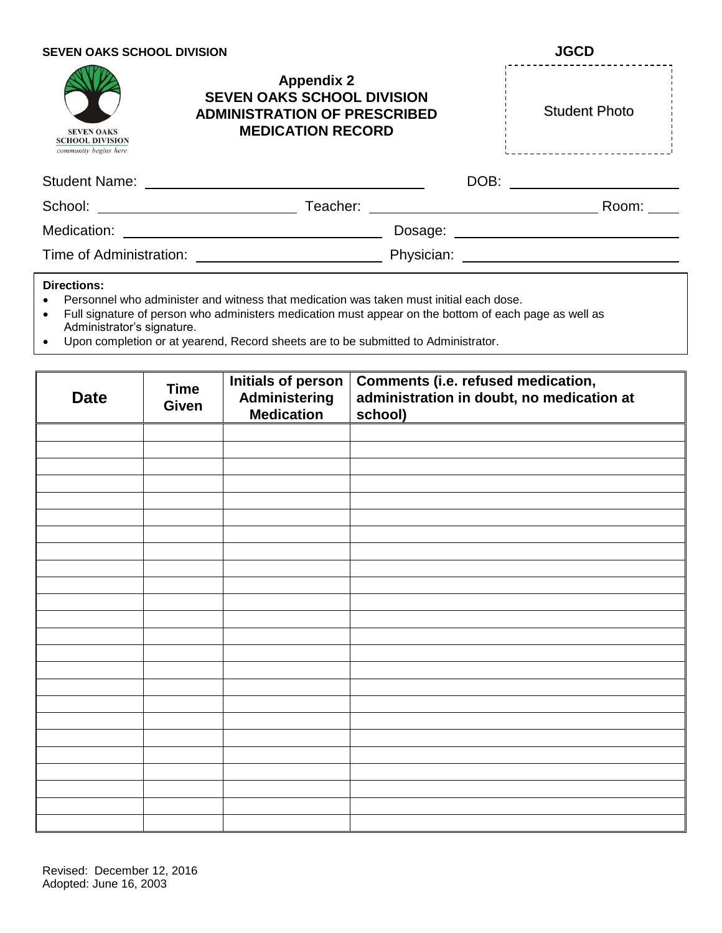| <b>SEVEN OAKS SCHOOL DIVISION</b>                                                                                                                                                                                              |                                                                                                                           |            | <b>JGCD</b> |                      |  |  |  |
|--------------------------------------------------------------------------------------------------------------------------------------------------------------------------------------------------------------------------------|---------------------------------------------------------------------------------------------------------------------------|------------|-------------|----------------------|--|--|--|
| <b>SEVEN OAKS</b><br><b>SCHOOL DIVISION</b><br>community begins here                                                                                                                                                           | <b>Appendix 2</b><br><b>SEVEN OAKS SCHOOL DIVISION</b><br><b>ADMINISTRATION OF PRESCRIBED</b><br><b>MEDICATION RECORD</b> |            |             | <b>Student Photo</b> |  |  |  |
|                                                                                                                                                                                                                                | Student Name: <u>______________________</u>                                                                               |            | DOB:        |                      |  |  |  |
| School: Analysis of the state of the state of the state of the state of the state of the state of the state of the state of the state of the state of the state of the state of the state of the state of the state of the sta | Teacher:                                                                                                                  |            |             | Room:                |  |  |  |
| Medication:                                                                                                                                                                                                                    |                                                                                                                           | Dosage:    |             |                      |  |  |  |
| Time of Administration:                                                                                                                                                                                                        |                                                                                                                           | Physician: |             |                      |  |  |  |

#### **Directions:**

- Personnel who administer and witness that medication was taken must initial each dose.
- Full signature of person who administers medication must appear on the bottom of each page as well as Administrator's signature.
- Upon completion or at yearend, Record sheets are to be submitted to Administrator.

| <b>Date</b> | <b>Time</b><br>Given | <b>Initials of person</b><br>Administering<br><b>Medication</b> | Comments (i.e. refused medication,<br>administration in doubt, no medication at<br>school) |
|-------------|----------------------|-----------------------------------------------------------------|--------------------------------------------------------------------------------------------|
|             |                      |                                                                 |                                                                                            |
|             |                      |                                                                 |                                                                                            |
|             |                      |                                                                 |                                                                                            |
|             |                      |                                                                 |                                                                                            |
|             |                      |                                                                 |                                                                                            |
|             |                      |                                                                 |                                                                                            |
|             |                      |                                                                 |                                                                                            |
|             |                      |                                                                 |                                                                                            |
|             |                      |                                                                 |                                                                                            |
|             |                      |                                                                 |                                                                                            |
|             |                      |                                                                 |                                                                                            |
|             |                      |                                                                 |                                                                                            |
|             |                      |                                                                 |                                                                                            |
|             |                      |                                                                 |                                                                                            |
|             |                      |                                                                 |                                                                                            |
|             |                      |                                                                 |                                                                                            |
|             |                      |                                                                 |                                                                                            |
|             |                      |                                                                 |                                                                                            |
|             |                      |                                                                 |                                                                                            |
|             |                      |                                                                 |                                                                                            |
|             |                      |                                                                 |                                                                                            |
|             |                      |                                                                 |                                                                                            |
|             |                      |                                                                 |                                                                                            |
|             |                      |                                                                 |                                                                                            |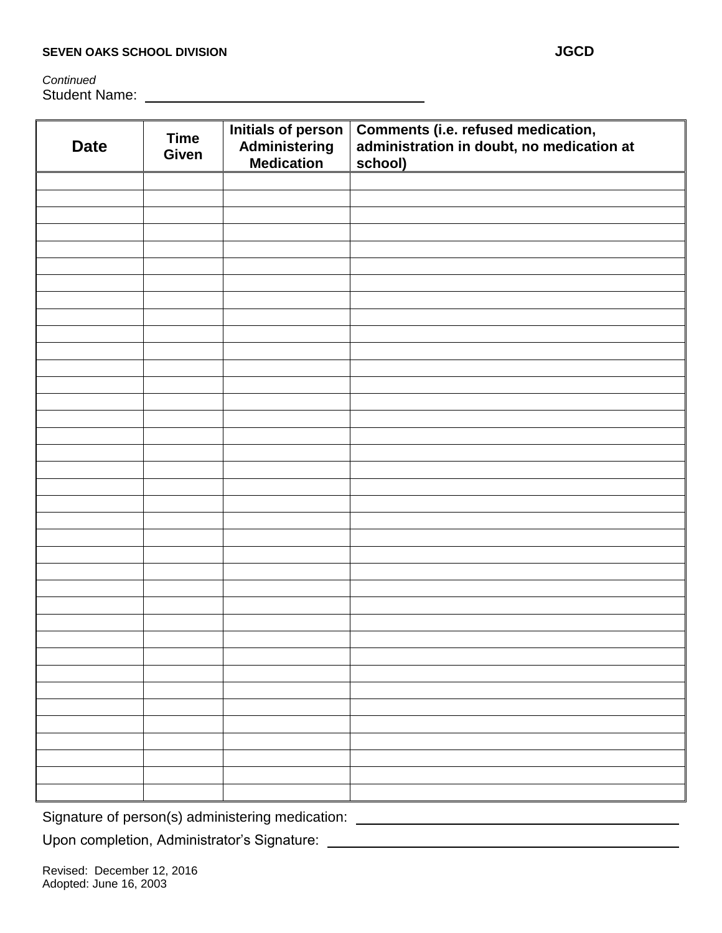*Continued* Student Name:

| <b>Date</b> | <b>Time</b><br>Given | Initials of person<br>Administering<br><b>Medication</b> | Comments (i.e. refused medication,<br>administration in doubt, no medication at<br>school) |
|-------------|----------------------|----------------------------------------------------------|--------------------------------------------------------------------------------------------|
|             |                      |                                                          |                                                                                            |
|             |                      |                                                          |                                                                                            |
|             |                      |                                                          |                                                                                            |
|             |                      |                                                          |                                                                                            |
|             |                      |                                                          |                                                                                            |
|             |                      |                                                          |                                                                                            |
|             |                      |                                                          |                                                                                            |
|             |                      |                                                          |                                                                                            |
|             |                      |                                                          |                                                                                            |
|             |                      |                                                          |                                                                                            |
|             |                      |                                                          |                                                                                            |
|             |                      |                                                          |                                                                                            |
|             |                      |                                                          |                                                                                            |
|             |                      |                                                          |                                                                                            |
|             |                      |                                                          |                                                                                            |
|             |                      |                                                          |                                                                                            |
|             |                      |                                                          |                                                                                            |
|             |                      |                                                          |                                                                                            |
|             |                      |                                                          |                                                                                            |
|             |                      |                                                          |                                                                                            |
|             |                      |                                                          |                                                                                            |
|             |                      |                                                          |                                                                                            |
|             |                      |                                                          |                                                                                            |
|             |                      |                                                          |                                                                                            |
|             |                      |                                                          |                                                                                            |
|             |                      |                                                          |                                                                                            |
|             |                      |                                                          |                                                                                            |
|             |                      |                                                          |                                                                                            |
|             |                      |                                                          |                                                                                            |
|             |                      |                                                          |                                                                                            |
|             |                      |                                                          |                                                                                            |
|             |                      |                                                          |                                                                                            |
|             |                      |                                                          |                                                                                            |
|             |                      |                                                          |                                                                                            |
|             |                      |                                                          |                                                                                            |
|             |                      |                                                          |                                                                                            |
|             |                      |                                                          |                                                                                            |

Signature of person(s) administering medication: \_\_\_\_\_\_\_\_\_\_\_\_\_\_\_\_\_\_\_\_\_\_\_\_\_\_\_\_\_\_\_\_

Upon completion, Administrator's Signature:

Revised: December 12, 2016 Adopted: June 16, 2003